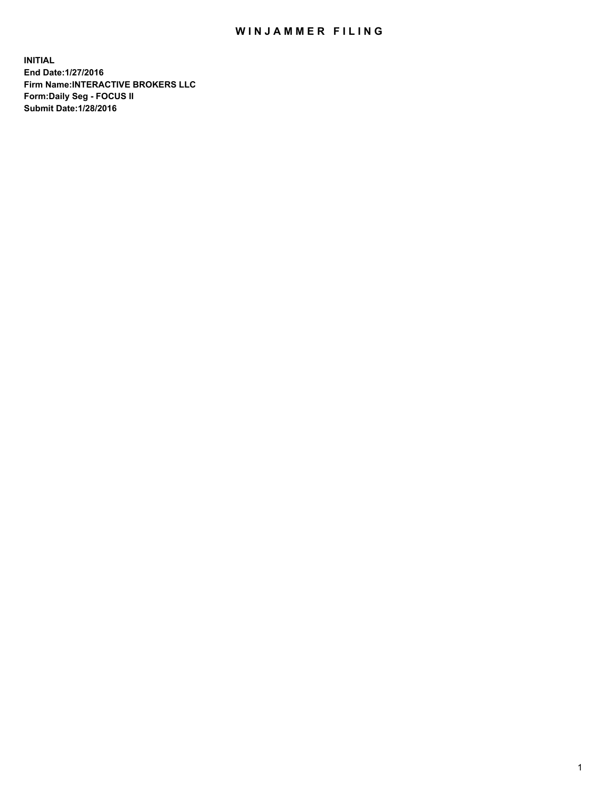## WIN JAMMER FILING

**INITIAL End Date:1/27/2016 Firm Name:INTERACTIVE BROKERS LLC Form:Daily Seg - FOCUS II Submit Date:1/28/2016**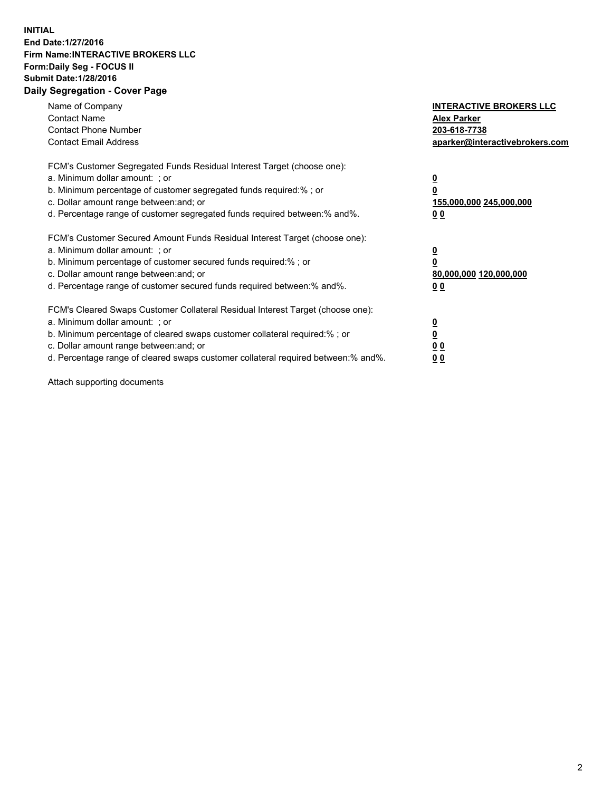## **INITIAL End Date:1/27/2016 Firm Name:INTERACTIVE BROKERS LLC Form:Daily Seg - FOCUS II Submit Date:1/28/2016 Daily Segregation - Cover Page**

| Name of Company<br><b>Contact Name</b><br><b>Contact Phone Number</b><br><b>Contact Email Address</b>                                                                                                                                                                                                                         | <b>INTERACTIVE BROKERS LLC</b><br><b>Alex Parker</b><br>203-618-7738<br>aparker@interactivebrokers.com |
|-------------------------------------------------------------------------------------------------------------------------------------------------------------------------------------------------------------------------------------------------------------------------------------------------------------------------------|--------------------------------------------------------------------------------------------------------|
| FCM's Customer Segregated Funds Residual Interest Target (choose one):<br>a. Minimum dollar amount: ; or<br>b. Minimum percentage of customer segregated funds required:% ; or<br>c. Dollar amount range between: and; or<br>d. Percentage range of customer segregated funds required between:% and%.                        | <u>0</u><br>155,000,000 245,000,000<br>0 <sub>0</sub>                                                  |
| FCM's Customer Secured Amount Funds Residual Interest Target (choose one):<br>a. Minimum dollar amount: ; or<br>b. Minimum percentage of customer secured funds required:%; or<br>c. Dollar amount range between: and; or<br>d. Percentage range of customer secured funds required between: % and %.                         | <u>0</u><br>80,000,000 120,000,000<br><u>00</u>                                                        |
| FCM's Cleared Swaps Customer Collateral Residual Interest Target (choose one):<br>a. Minimum dollar amount: ; or<br>b. Minimum percentage of cleared swaps customer collateral required:%; or<br>c. Dollar amount range between: and; or<br>d. Percentage range of cleared swaps customer collateral required between:% and%. | <u>0</u><br>0 <sub>0</sub><br>0 <sub>0</sub>                                                           |

Attach supporting documents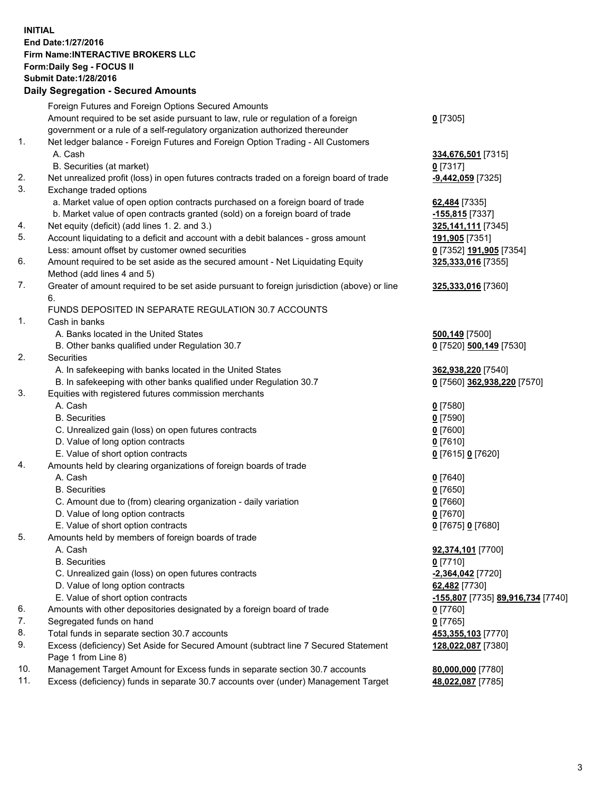## **INITIAL End Date:1/27/2016 Firm Name:INTERACTIVE BROKERS LLC Form:Daily Seg - FOCUS II Submit Date:1/28/2016 Daily Segregation - Secured Amounts**

|                | Dany Ocgregation - Oceanea Amounts                                                          |                                   |
|----------------|---------------------------------------------------------------------------------------------|-----------------------------------|
|                | Foreign Futures and Foreign Options Secured Amounts                                         |                                   |
|                | Amount required to be set aside pursuant to law, rule or regulation of a foreign            | $0$ [7305]                        |
|                | government or a rule of a self-regulatory organization authorized thereunder                |                                   |
| 1.             | Net ledger balance - Foreign Futures and Foreign Option Trading - All Customers             |                                   |
|                | A. Cash                                                                                     | 334,676,501 [7315]                |
|                | B. Securities (at market)                                                                   | $0$ [7317]                        |
| 2.             |                                                                                             |                                   |
|                | Net unrealized profit (loss) in open futures contracts traded on a foreign board of trade   | $-9,442,059$ [7325]               |
| 3.             | Exchange traded options                                                                     |                                   |
|                | a. Market value of open option contracts purchased on a foreign board of trade              | 62,484 [7335]                     |
|                | b. Market value of open contracts granted (sold) on a foreign board of trade                | $-155,815$ [7337]                 |
| 4.             | Net equity (deficit) (add lines 1.2. and 3.)                                                | 325,141,111 [7345]                |
| 5.             | Account liquidating to a deficit and account with a debit balances - gross amount           | 191,905 [7351]                    |
|                | Less: amount offset by customer owned securities                                            | 0 [7352] 191,905 [7354]           |
| 6.             | Amount required to be set aside as the secured amount - Net Liquidating Equity              | 325,333,016 [7355]                |
|                | Method (add lines 4 and 5)                                                                  |                                   |
| 7.             | Greater of amount required to be set aside pursuant to foreign jurisdiction (above) or line | 325,333,016 [7360]                |
|                | 6.                                                                                          |                                   |
|                | FUNDS DEPOSITED IN SEPARATE REGULATION 30.7 ACCOUNTS                                        |                                   |
| $\mathbf{1}$ . | Cash in banks                                                                               |                                   |
|                | A. Banks located in the United States                                                       | <b>500,149</b> [7500]             |
|                | B. Other banks qualified under Regulation 30.7                                              | 0 [7520] 500,149 [7530]           |
| 2.             | <b>Securities</b>                                                                           |                                   |
|                |                                                                                             |                                   |
|                | A. In safekeeping with banks located in the United States                                   | 362,938,220 [7540]                |
|                | B. In safekeeping with other banks qualified under Regulation 30.7                          | 0 [7560] 362,938,220 [7570]       |
| 3.             | Equities with registered futures commission merchants                                       |                                   |
|                | A. Cash                                                                                     | $0$ [7580]                        |
|                | <b>B.</b> Securities                                                                        | $0$ [7590]                        |
|                | C. Unrealized gain (loss) on open futures contracts                                         | $0$ [7600]                        |
|                | D. Value of long option contracts                                                           | $0$ [7610]                        |
|                | E. Value of short option contracts                                                          | 0 [7615] 0 [7620]                 |
| 4.             | Amounts held by clearing organizations of foreign boards of trade                           |                                   |
|                | A. Cash                                                                                     | $0$ [7640]                        |
|                | <b>B.</b> Securities                                                                        | $0$ [7650]                        |
|                | C. Amount due to (from) clearing organization - daily variation                             | $0$ [7660]                        |
|                | D. Value of long option contracts                                                           | $0$ [7670]                        |
|                | E. Value of short option contracts                                                          | 0 [7675] 0 [7680]                 |
| 5.             | Amounts held by members of foreign boards of trade                                          |                                   |
|                | A. Cash                                                                                     | 92,374,101 [7700]                 |
|                | <b>B.</b> Securities                                                                        | $0$ [7710]                        |
|                | C. Unrealized gain (loss) on open futures contracts                                         | -2,364,042 [7720]                 |
|                | D. Value of long option contracts                                                           | 62,482 [7730]                     |
|                | E. Value of short option contracts                                                          |                                   |
|                |                                                                                             | -155,807 [7735] 89,916,734 [7740] |
| 6.             | Amounts with other depositories designated by a foreign board of trade                      | $0$ [7760]                        |
| 7.             | Segregated funds on hand                                                                    | $0$ [7765]                        |
| 8.             | Total funds in separate section 30.7 accounts                                               | 453,355,103 [7770]                |
| 9.             | Excess (deficiency) Set Aside for Secured Amount (subtract line 7 Secured Statement         | 128,022,087 [7380]                |
|                | Page 1 from Line 8)                                                                         |                                   |
| 10.            | Management Target Amount for Excess funds in separate section 30.7 accounts                 | 80,000,000 [7780]                 |
| 11.            | Excess (deficiency) funds in separate 30.7 accounts over (under) Management Target          | 48,022,087 [7785]                 |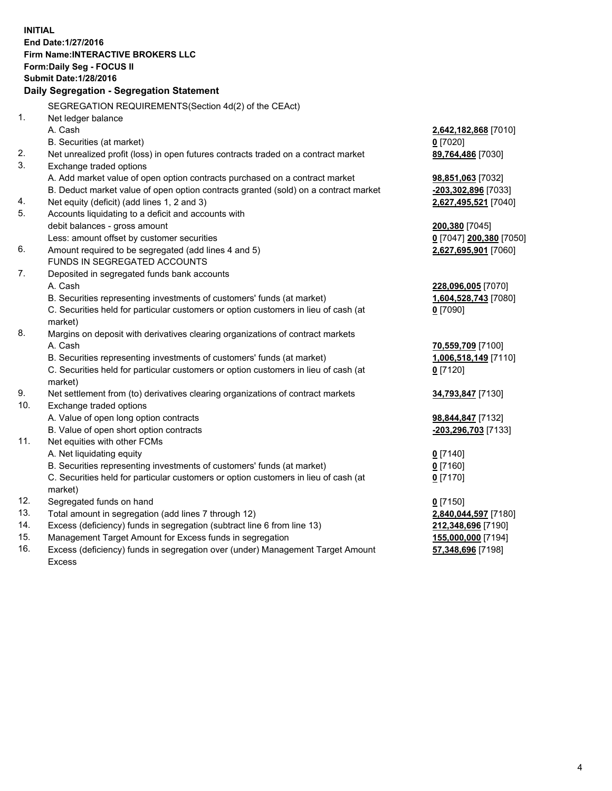**INITIAL End Date:1/27/2016 Firm Name:INTERACTIVE BROKERS LLC Form:Daily Seg - FOCUS II Submit Date:1/28/2016 Daily Segregation - Segregation Statement** SEGREGATION REQUIREMENTS(Section 4d(2) of the CEAct) 1. Net ledger balance A. Cash **2,642,182,868** [7010] B. Securities (at market) **0** [7020] 2. Net unrealized profit (loss) in open futures contracts traded on a contract market **89,764,486** [7030] 3. Exchange traded options A. Add market value of open option contracts purchased on a contract market **98,851,063** [7032] B. Deduct market value of open option contracts granted (sold) on a contract market **-203,302,896** [7033] 4. Net equity (deficit) (add lines 1, 2 and 3) **2,627,495,521** [7040] 5. Accounts liquidating to a deficit and accounts with debit balances - gross amount **200,380** [7045] Less: amount offset by customer securities **0** [7047] **200,380** [7050] 6. Amount required to be segregated (add lines 4 and 5) **2,627,695,901** [7060] FUNDS IN SEGREGATED ACCOUNTS 7. Deposited in segregated funds bank accounts A. Cash **228,096,005** [7070] B. Securities representing investments of customers' funds (at market) **1,604,528,743** [7080] C. Securities held for particular customers or option customers in lieu of cash (at market) **0** [7090] 8. Margins on deposit with derivatives clearing organizations of contract markets A. Cash **70,559,709** [7100] B. Securities representing investments of customers' funds (at market) **1,006,518,149** [7110] C. Securities held for particular customers or option customers in lieu of cash (at market) **0** [7120] 9. Net settlement from (to) derivatives clearing organizations of contract markets **34,793,847** [7130] 10. Exchange traded options A. Value of open long option contracts **98,844,847** [7132] B. Value of open short option contracts **-203,296,703** [7133] 11. Net equities with other FCMs A. Net liquidating equity **0** [7140] B. Securities representing investments of customers' funds (at market) **0** [7160] C. Securities held for particular customers or option customers in lieu of cash (at market) **0** [7170] 12. Segregated funds on hand **0** [7150] 13. Total amount in segregation (add lines 7 through 12) **2,840,044,597** [7180] 14. Excess (deficiency) funds in segregation (subtract line 6 from line 13) **212,348,696** [7190] 15. Management Target Amount for Excess funds in segregation **155,000,000** [7194]

16. Excess (deficiency) funds in segregation over (under) Management Target Amount Excess

**57,348,696** [7198]